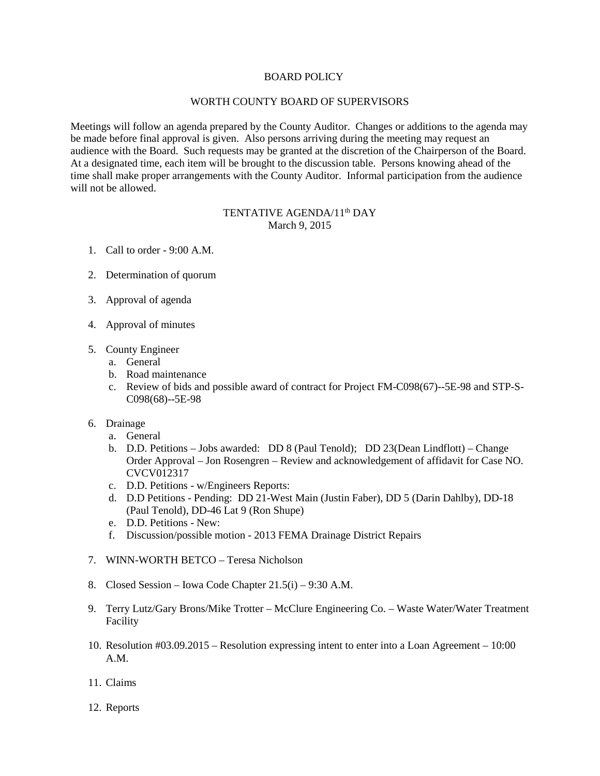## BOARD POLICY

## WORTH COUNTY BOARD OF SUPERVISORS

Meetings will follow an agenda prepared by the County Auditor. Changes or additions to the agenda may be made before final approval is given. Also persons arriving during the meeting may request an audience with the Board. Such requests may be granted at the discretion of the Chairperson of the Board. At a designated time, each item will be brought to the discussion table. Persons knowing ahead of the time shall make proper arrangements with the County Auditor. Informal participation from the audience will not be allowed.

## TENTATIVE AGENDA/11<sup>th</sup> DAY March 9, 2015

- 1. Call to order 9:00 A.M.
- 2. Determination of quorum
- 3. Approval of agenda
- 4. Approval of minutes
- 5. County Engineer
	- a. General
	- b. Road maintenance
	- c. Review of bids and possible award of contract for Project FM-C098(67)--5E-98 and STP-S-C098(68)--5E-98
- 6. Drainage
	- a. General
	- b. D.D. Petitions Jobs awarded: DD 8 (Paul Tenold); DD 23(Dean Lindflott) Change Order Approval – Jon Rosengren – Review and acknowledgement of affidavit for Case NO. CVCV012317
	- c. D.D. Petitions w/Engineers Reports:
	- d. D.D Petitions Pending: DD 21-West Main (Justin Faber), DD 5 (Darin Dahlby), DD-18 (Paul Tenold), DD-46 Lat 9 (Ron Shupe)
	- e. D.D. Petitions New:
	- f. Discussion/possible motion 2013 FEMA Drainage District Repairs
- 7. WINN-WORTH BETCO Teresa Nicholson
- 8. Closed Session Iowa Code Chapter 21.5(i) 9:30 A.M.
- 9. Terry Lutz/Gary Brons/Mike Trotter McClure Engineering Co. Waste Water/Water Treatment Facility
- 10. Resolution #03.09.2015 Resolution expressing intent to enter into a Loan Agreement 10:00 A.M.
- 11. Claims
- 12. Reports